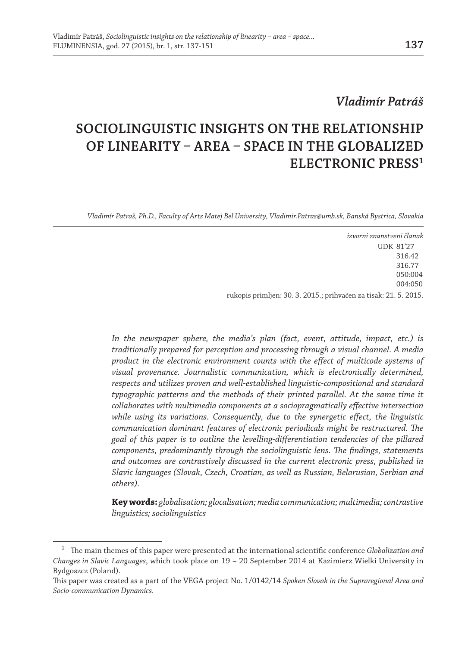# *Vladimír Patráš*

# **SOCIOLINGUISTIC INSIGHTS ON THE RELATIONSHIP OF LINEARITY – AREA – SPACE IN THE GLOBALIZED ELECTRONIC PRESS1**

*Vladimír Patraš, Ph.D., Faculty of Arts Matej Bel University, Vladimir.Patras@umb.sk, Banská Bystrica, Slovakia*

*izvorni znanstveni članak* UDK 81'27 316.42 316.77 050:004 004:050 rukopis primljen: 30. 3. 2015.; prihvaćen za tisak: 21. 5. 2015.

*In the newspaper sphere, the media's plan (fact, event, attitude, impact, etc.) is traditionally prepared for perception and processing through a visual channel. A media product in the electronic environment counts with the effect of multicode systems of visual provenance. Journalistic communication, which is electronically determined, respects and utilizes proven and well-established linguistic-compositional and standard*  typographic patterns and the methods of their printed parallel. At the same time it *collaborates with multimedia components at a sociopragmatically effective intersection while using its variations. Consequently, due to the synergetic effect, the linguistic communication dominant features of electronic periodicals might be restructured. The goal of this paper is to outline the levelling-differentiation tendencies of the pillared components, predominantly through the sociolinguistic lens. The findings, statements and outcomes are contrastively discussed in the current electronic press, published in Slavic languages (Slovak, Czech, Croatian, as well as Russian, Belarusian, Serbian and others).*

**Key words:** *globalisation; glocalisation; media communication; multimedia; contrastive linguistics; sociolinguistics* 

<sup>1</sup> The main themes of this paper were presented at the international scientific conference *Globalization and Changes in Slavic Languages*, which took place on 19 – 20 September 2014 at Kazimierz Wielki University in Bydgoszcz (Poland).

This paper was created as a part of the VEGA project No. 1/0142/14 *Spoken Slovak in the Supraregional Area and Socio-communication Dynamics*.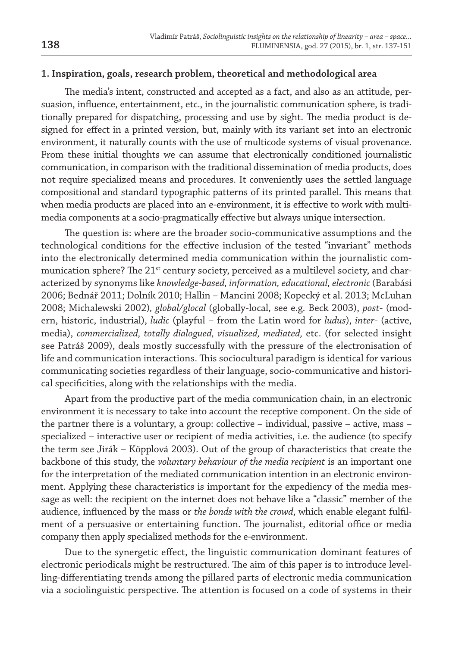#### **1. Inspiration, goals, research problem, theoretical and methodological area**

The media's intent, constructed and accepted as a fact, and also as an attitude, persuasion, influence, entertainment, etc., in the journalistic communication sphere, is traditionally prepared for dispatching, processing and use by sight. The media product is designed for effect in a printed version, but, mainly with its variant set into an electronic environment, it naturally counts with the use of multicode systems of visual provenance. From these initial thoughts we can assume that electronically conditioned journalistic communication, in comparison with the traditional dissemination of media products, does not require specialized means and procedures. It conveniently uses the settled language compositional and standard typographic patterns of its printed parallel. This means that when media products are placed into an e-environment, it is effective to work with multimedia components at a socio-pragmatically effective but always unique intersection.

The question is: where are the broader socio-communicative assumptions and the technological conditions for the effective inclusion of the tested "invariant" methods into the electronically determined media communication within the journalistic communication sphere? The 21<sup>st</sup> century society, perceived as a multilevel society, and characterized by synonyms like *knowledge-based, information, educational, electronic* (Barabási 2006; Bednář 2011; Dolník 2010; Hallin – Mancini 2008; Kopecký et al. 2013; McLuhan 2008; Michalewski 2002)*, global/glocal* (globally-local, see e.g. Beck 2003), *post*- (modern, historic, industrial), *ludic* (playful – from the Latin word for *ludus*), *inter*- (active, media), *commercialized, totally dialogued, visualized, mediated,* etc. (for selected insight see Patráš 2009), deals mostly successfully with the pressure of the electronisation of life and communication interactions. This sociocultural paradigm is identical for various communicating societies regardless of their language, socio-communicative and historical specificities, along with the relationships with the media.

Apart from the productive part of the media communication chain, in an electronic environment it is necessary to take into account the receptive component. On the side of the partner there is a voluntary, a group: collective – individual, passive – active, mass – specialized – interactive user or recipient of media activities, i.e. the audience (to specify the term see Jirák – Köpplová 2003). Out of the group of characteristics that create the backbone of this study, the *voluntary behaviour of the media recipient* is an important one for the interpretation of the mediated communication intention in an electronic environment. Applying these characteristics is important for the expediency of the media message as well: the recipient on the internet does not behave like a "classic" member of the audience, influenced by the mass or *the bonds with the crowd*, which enable elegant fulfilment of a persuasive or entertaining function. The journalist, editorial office or media company then apply specialized methods for the e-environment.

Due to the synergetic effect, the linguistic communication dominant features of electronic periodicals might be restructured. The aim of this paper is to introduce levelling-differentiating trends among the pillared parts of electronic media communication via a sociolinguistic perspective. The attention is focused on a code of systems in their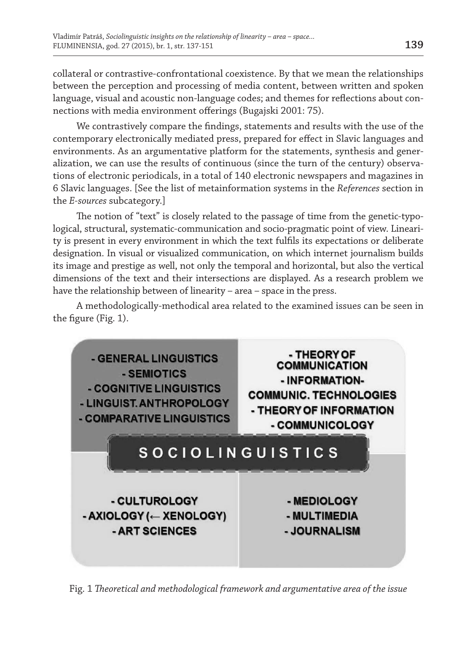collateral or contrastive-confrontational coexistence. By that we mean the relationships between the perception and processing of media content, between written and spoken language, visual and acoustic non-language codes; and themes for reflections about connections with media environment offerings (Bugajski 2001: 75).

We contrastively compare the findings, statements and results with the use of the contemporary electronically mediated press, prepared for effect in Slavic languages and environments. As an argumentative platform for the statements, synthesis and generalization, we can use the results of continuous (since the turn of the century) observations of electronic periodicals, in a total of 140 electronic newspapers and magazines in 6 Slavic languages. [See the list of metainformation systems in the *References* section in the *E-sources* subcategory.]

The notion of "text" is closely related to the passage of time from the genetic-typological, structural, systematic-communication and socio-pragmatic point of view. Linearity is present in every environment in which the text fulfils its expectations or deliberate designation. In visual or visualized communication, on which internet journalism builds its image and prestige as well, not only the temporal and horizontal, but also the vertical dimensions of the text and their intersections are displayed. As a research problem we have the relationship between of linearity – area – space in the press.

A methodologically-methodical area related to the examined issues can be seen in the figure (Fig. 1).



Fig. 1 *Theoretical and methodological framework and argumentative area of the issue*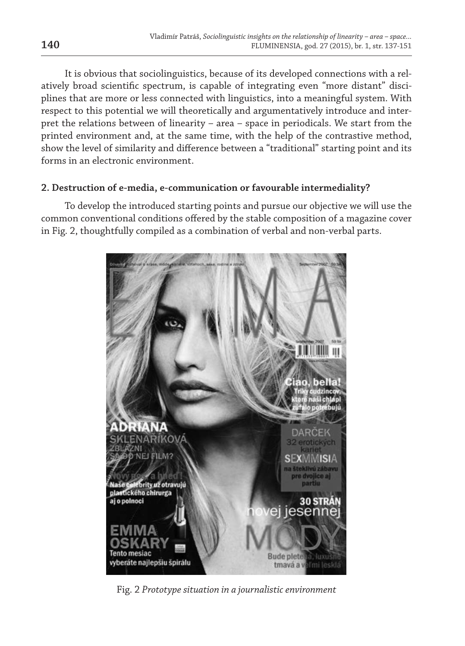It is obvious that sociolinguistics, because of its developed connections with a relatively broad scientific spectrum, is capable of integrating even "more distant" disciplines that are more or less connected with linguistics, into a meaningful system. With respect to this potential we will theoretically and argumentatively introduce and interpret the relations between of linearity – area – space in periodicals. We start from the printed environment and, at the same time, with the help of the contrastive method, show the level of similarity and difference between a "traditional" starting point and its forms in an electronic environment.

## **2. Destruction of e-media, e-communication or favourable intermediality?**

To develop the introduced starting points and pursue our objective we will use the common conventional conditions offered by the stable composition of a magazine cover in Fig. 2, thoughtfully compiled as a combination of verbal and non-verbal parts.



Fig. 2 *Prototype situation in a journalistic environment*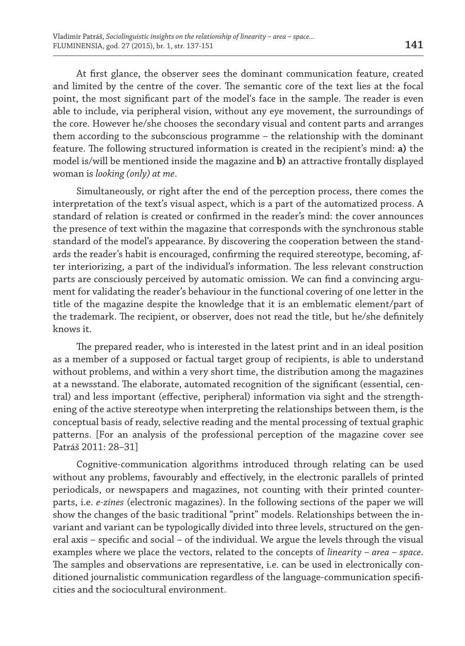At first glance, the observer sees the dominant communication feature, created and limited by the centre of the cover. The semantic core of the text lies at the focal point, the most significant part of the model's face in the sample. The reader is even able to include, via peripheral vision, without any eye movement, the surroundings of the core. However he/she chooses the secondary visual and content parts and arranges them according to the subconscious programme – the relationship with the dominant feature. The following structured information is created in the recipient's mind: **a)** the model is/will be mentioned inside the magazine and **b)** an attractive frontally displayed woman is *looking (only) at me*.

Simultaneously, or right after the end of the perception process, there comes the interpretation of the text's visual aspect, which is a part of the automatized process. A standard of relation is created or confirmed in the reader's mind: the cover announces the presence of text within the magazine that corresponds with the synchronous stable standard of the model's appearance. By discovering the cooperation between the standards the reader's habit is encouraged, confirming the required stereotype, becoming, after interiorizing, a part of the individual's information. The less relevant construction parts are consciously perceived by automatic omission. We can find a convincing argument for validating the reader's behaviour in the functional covering of one letter in the title of the magazine despite the knowledge that it is an emblematic element/part of the trademark. The recipient, or observer, does not read the title, but he/she definitely knows it.

The prepared reader, who is interested in the latest print and in an ideal position as a member of a supposed or factual target group of recipients, is able to understand without problems, and within a very short time, the distribution among the magazines at a newsstand. The elaborate, automated recognition of the significant (essential, central) and less important (effective, peripheral) information via sight and the strengthening of the active stereotype when interpreting the relationships between them, is the conceptual basis of ready, selective reading and the mental processing of textual graphic patterns. [For an analysis of the professional perception of the magazine cover see Patráš 2011: 28–31]

Cognitive-communication algorithms introduced through relating can be used without any problems, favourably and effectively, in the electronic parallels of printed periodicals, or newspapers and magazines, not counting with their printed counterparts, i.e. *e-zines* (electronic magazines). In the following sections of the paper we will show the changes of the basic traditional "print" models. Relationships between the invariant and variant can be typologically divided into three levels, structured on the general axis – specific and social – of the individual. We argue the levels through the visual examples where we place the vectors, related to the concepts of *linearity – area – space*. The samples and observations are representative, i.e. can be used in electronically conditioned journalistic communication regardless of the language-communication specificities and the sociocultural environment.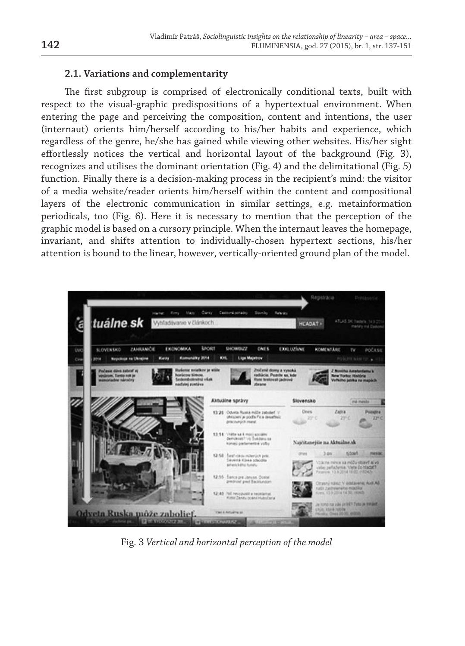## **2.1. Variations and complementarity**

The first subgroup is comprised of electronically conditional texts, built with respect to the visual-graphic predispositions of a hypertextual environment. When entering the page and perceiving the composition, content and intentions, the user (internaut) orients him/herself according to his/her habits and experience, which regardless of the genre, he/she has gained while viewing other websites. His/her sight effortlessly notices the vertical and horizontal layout of the background (Fig. 3), recognizes and utilises the dominant orientation (Fig. 4) and the delimitational (Fig. 5) function. Finally there is a decision-making process in the recipient's mind: the visitor of a media website/reader orients him/herself within the content and compositional layers of the electronic communication in similar settings, e.g. metainformation periodicals, too (Fig. 6). Here it is necessary to mention that the perception of the graphic model is based on a cursory principle. When the internaut leaves the homepage, invariant, and shifts attention to individually-chosen hypertext sections, his/her attention is bound to the linear, however, vertically-oriented ground plan of the model.



Fig. 3 *Vertical and horizontal perception of the model*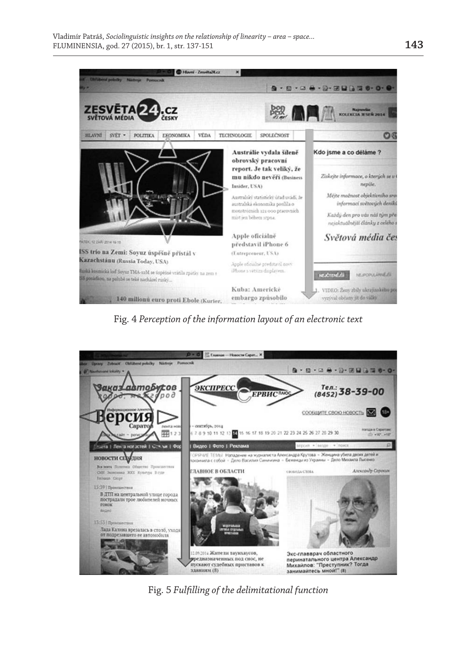

Fig. 4 *Perception of the information layout of an electronic text*



Fig. 5 *Fulfilling of the delimitational function*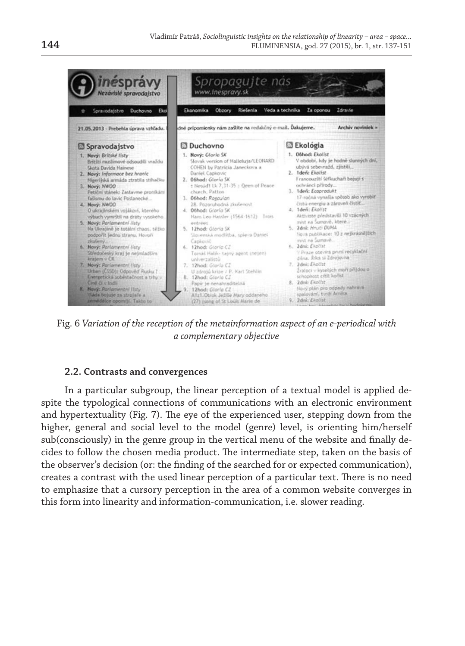

Fig. 6 *Variation of the reception of the metainformation aspect of an e-periodical with a complementary objective*

#### **2.2. Contrasts and convergences**

In a particular subgroup, the linear perception of a textual model is applied despite the typological connections of communications with an electronic environment and hypertextuality (Fig. 7). The eye of the experienced user, stepping down from the higher, general and social level to the model (genre) level, is orienting him/herself sub(consciously) in the genre group in the vertical menu of the website and finally decides to follow the chosen media product. The intermediate step, taken on the basis of the observer's decision (or: the finding of the searched for or expected communication), creates a contrast with the used linear perception of a particular text. There is no need to emphasize that a cursory perception in the area of a common website converges in this form into linearity and information-communication, i.e. slower reading.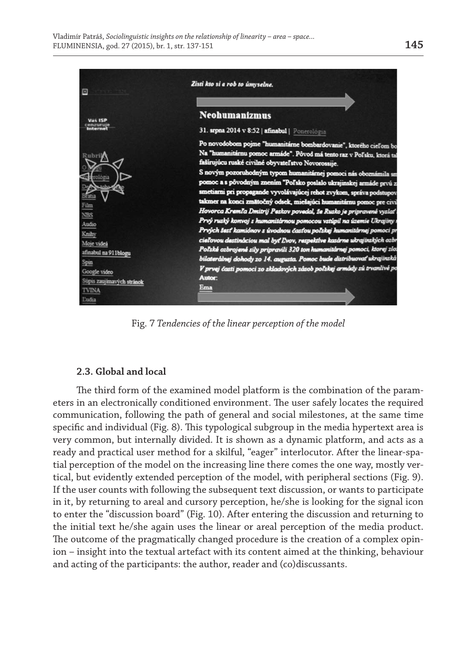

Fig. 7 *Tendencies of the linear perception of the model*

# **2.3. Global and local**

The third form of the examined model platform is the combination of the parameters in an electronically conditioned environment. The user safely locates the required communication, following the path of general and social milestones, at the same time specific and individual (Fig. 8). This typological subgroup in the media hypertext area is very common, but internally divided. It is shown as a dynamic platform, and acts as a ready and practical user method for a skilful, "eager" interlocutor. After the linear-spatial perception of the model on the increasing line there comes the one way, mostly vertical, but evidently extended perception of the model, with peripheral sections (Fig. 9). If the user counts with following the subsequent text discussion, or wants to participate in it, by returning to areal and cursory perception, he/she is looking for the signal icon to enter the "discussion board" (Fig. 10). After entering the discussion and returning to the initial text he/she again uses the linear or areal perception of the media product. The outcome of the pragmatically changed procedure is the creation of a complex opinion – insight into the textual artefact with its content aimed at the thinking, behaviour and acting of the participants: the author, reader and (co)discussants.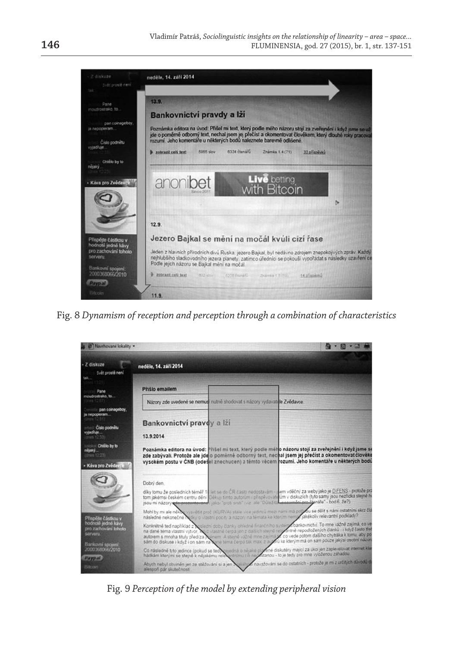

Fig. 8 *Dynamism of reception and perception through a combination of characteristics*



Fig. 9 *Perception of the model by extending peripheral vision*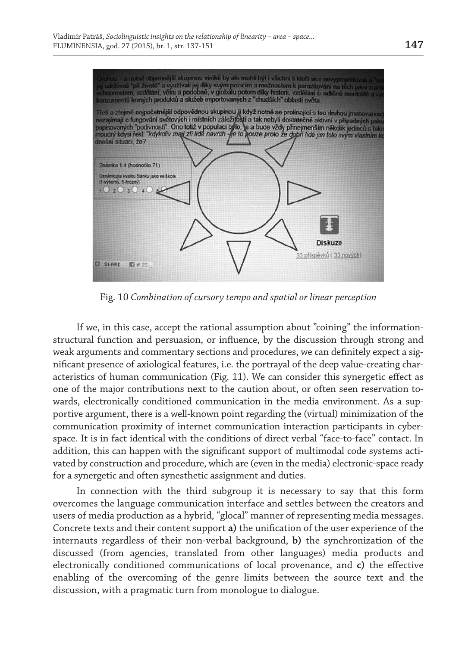

Fig. 10 *Combination of cursory tempo and spatial or linear perception*

If we, in this case, accept the rational assumption about "coining" the informationstructural function and persuasion, or influence, by the discussion through strong and weak arguments and commentary sections and procedures, we can definitely expect a significant presence of axiological features, i.e. the portrayal of the deep value-creating characteristics of human communication (Fig. 11). We can consider this synergetic effect as one of the major contributions next to the caution about, or often seen reservation towards, electronically conditioned communication in the media environment. As a supportive argument, there is a well-known point regarding the (virtual) minimization of the communication proximity of internet communication interaction participants in cyberspace. It is in fact identical with the conditions of direct verbal "face-to-face" contact. In addition, this can happen with the significant support of multimodal code systems activated by construction and procedure, which are (even in the media) electronic-space ready for a synergetic and often synesthetic assignment and duties.

In connection with the third subgroup it is necessary to say that this form overcomes the language communication interface and settles between the creators and users of media production as a hybrid, "glocal" manner of representing media messages. Concrete texts and their content support **a)** the unification of the user experience of the internauts regardless of their non-verbal background, **b)** the synchronization of the discussed (from agencies, translated from other languages) media products and electronically conditioned communications of local provenance, and **c)** the effective enabling of the overcoming of the genre limits between the source text and the discussion, with a pragmatic turn from monologue to dialogue.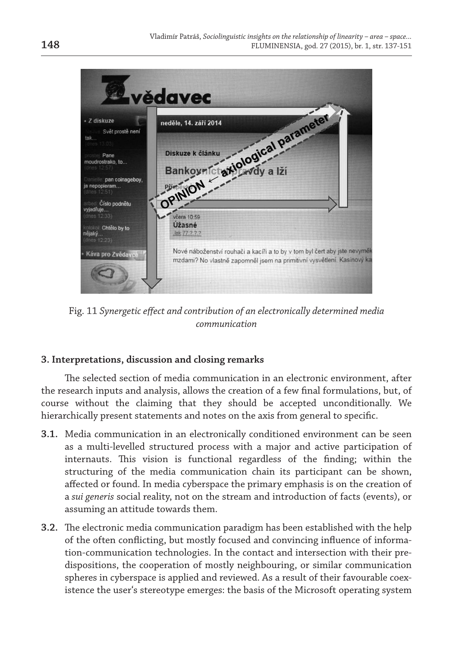

Fig. 11 *Synergetic effect and contribution of an electronically determined media communication*

# **3. Interpretations, discussion and closing remarks**

The selected section of media communication in an electronic environment, after the research inputs and analysis, allows the creation of a few final formulations, but, of course without the claiming that they should be accepted unconditionally. We hierarchically present statements and notes on the axis from general to specific.

- **3.1.** Media communication in an electronically conditioned environment can be seen as a multi-levelled structured process with a major and active participation of internauts. This vision is functional regardless of the finding; within the structuring of the media communication chain its participant can be shown, affected or found. In media cyberspace the primary emphasis is on the creation of a *sui generis* social reality, not on the stream and introduction of facts (events), or assuming an attitude towards them.
- **3.2.** The electronic media communication paradigm has been established with the help of the often conflicting, but mostly focused and convincing influence of information-communication technologies. In the contact and intersection with their predispositions, the cooperation of mostly neighbouring, or similar communication spheres in cyberspace is applied and reviewed. As a result of their favourable coexistence the user's stereotype emerges: the basis of the Microsoft operating system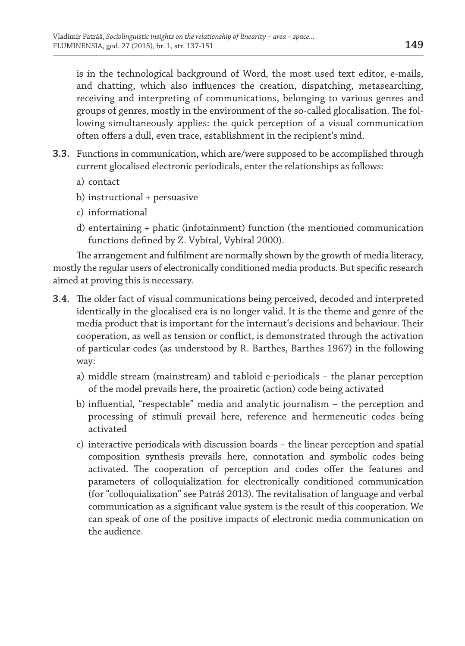is in the technological background of Word, the most used text editor, e-mails, and chatting, which also influences the creation, dispatching, metasearching, receiving and interpreting of communications, belonging to various genres and groups of genres, mostly in the environment of the so-called glocalisation. The following simultaneously applies: the quick perception of a visual communication often offers a dull, even trace, establishment in the recipient's mind.

- **3.3.** Functions in communication, which are/were supposed to be accomplished through current glocalised electronic periodicals, enter the relationships as follows:
	- a) contact
	- b) instructional + persuasive
	- c) informational
	- d) entertaining + phatic (infotainment) function (the mentioned communication functions defined by Z. Vybíral, Vybíral 2000).

The arrangement and fulfilment are normally shown by the growth of media literacy, mostly the regular users of electronically conditioned media products. But specific research aimed at proving this is necessary.

- **3.4.** The older fact of visual communications being perceived, decoded and interpreted identically in the glocalised era is no longer valid. It is the theme and genre of the media product that is important for the internaut's decisions and behaviour. Their cooperation, as well as tension or conflict, is demonstrated through the activation of particular codes (as understood by R. Barthes, Barthes 1967) in the following way:
	- a) middle stream (mainstream) and tabloid e-periodicals the planar perception of the model prevails here, the proairetic (action) code being activated
	- b) influential, "respectable" media and analytic journalism the perception and processing of stimuli prevail here, reference and hermeneutic codes being activated
	- c) interactive periodicals with discussion boards the linear perception and spatial composition synthesis prevails here, connotation and symbolic codes being activated. The cooperation of perception and codes offer the features and parameters of colloquialization for electronically conditioned communication (for "colloquialization" see Patráš 2013). The revitalisation of language and verbal communication as a significant value system is the result of this cooperation. We can speak of one of the positive impacts of electronic media communication on the audience.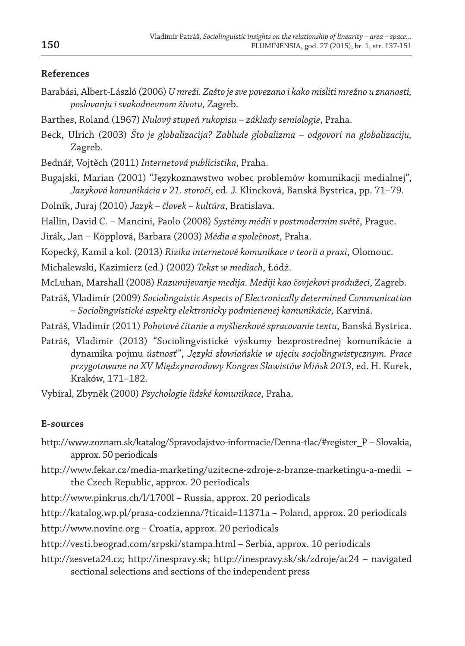# **References**

- Barabási, Albert-László (2006) *U mreži. Zašto je sve povezano i kako misliti mrežno u znanosti, poslovanju i svakodnevnom životu,* Zagreb.
- Barthes, Roland (1967) *Nulový stupeň rukopisu základy semiologie*, Praha.
- Beck, Ulrich (2003) *Što je globalizacija? Zablude globalizma odgovori na globalizaciju,* Zagreb.
- Bednář, Vojtěch (2011) *Internetová publicistika*, Praha.
- Bugajski, Marian (2001) "Językoznawstwo wobec problemów komunikacji medialnej", *Jazyková komunikácia v 21. storočí*, ed. J. Klincková, Banská Bystrica, pp. 71–79.
- Dolník, Juraj (2010) *Jazyk človek kultúra*, Bratislava.
- Hallin, David C. Mancini, Paolo (2008) *Systémy médií v postmoderním světě*, Prague.
- Jirák, Jan Köpplová, Barbara (2003) *Média a společnost*, Praha.
- Kopecký, Kamil a kol. (2013) *Rizika internetové komunikace v teorii a praxi*, Olomouc.
- Michalewski, Kazimierz (ed.) (2002) *Tekst w mediach*, Łódź.
- McLuhan, Marshall (2008) *Razumijevanje medija. Mediji kao čovjekovi produžeci*, Zagreb.
- Patráš, Vladimír (2009) *Sociolinguistic Aspects of Electronically determined Communication – Sociolingvistické aspekty elektronicky podmienenej komunikácie,* Karviná.
- Patráš, Vladimír (2011) *Pohotové čítanie a myšlienkové spracovanie textu*, Banská Bystrica.
- Patráš, Vladimír (2013) "Sociolingvistické výskumy bezprostrednej komunikácie a dynamika pojmu *ústnosť*", *Języki słowiańskie w ujęciu socjolingwistycznym. Prace przygotowane na XV Międzynarodowy Kongres Slawistów Mińsk 2013*, ed. H. Kurek, Kraków, 171–182.
- Vybíral, Zbyněk (2000) *Psychologie lidské komunikace*, Praha.

#### **E-sources**

- http://www.zoznam.sk/katalog/Spravodajstvo-informacie/Denna-tlac/#register\_P Slovakia, approx. 50 periodicals
- http://www.fekar.cz/media-marketing/uzitecne-zdroje-z-branze-marketingu-a-medii the Czech Republic, approx. 20 periodicals
- http://www.pinkrus.ch/l/1700l Russia, approx. 20 periodicals
- http://katalog.wp.pl/prasa-codzienna/?ticaid=11371a Poland, approx. 20 periodicals
- http://www.novine.org Croatia, approx. 20 periodicals
- http://vesti.beograd.com/srpski/stampa.html Serbia, approx. 10 periodicals
- http://zesveta24.cz; http://inespravy.sk; http://inespravy.sk/sk/zdroje/ac24 navigated sectional selections and sections of the independent press